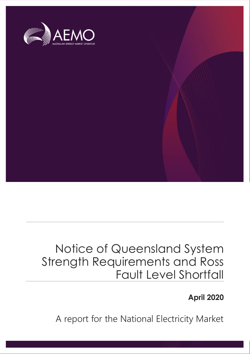

## Notice of Queensland System Strength Requirements and Ross Fault Level Shortfall

## **April 2020**

A report for the National Electricity Market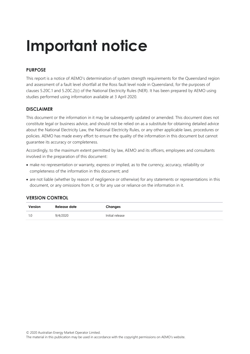# **Important notice**

## **PURPOSE**

This report is a notice of AEMO's determination of system strength requirements for the Queensland region and assessment of a fault level shortfall at the Ross fault level node in Queensland, for the purposes of clauses 5.20C.1 and 5.20C.2(c) of the National Electricity Rules (NER). It has been prepared by AEMO using studies performed using information available at 3 April 2020.

## **DISCLAIMER**

This document or the information in it may be subsequently updated or amended. This document does not constitute legal or business advice, and should not be relied on as a substitute for obtaining detailed advice about the National Electricity Law, the National Electricity Rules, or any other applicable laws, procedures or policies. AEMO has made every effort to ensure the quality of the information in this document but cannot guarantee its accuracy or completeness.

Accordingly, to the maximum extent permitted by law, AEMO and its officers, employees and consultants involved in the preparation of this document:

- make no representation or warranty, express or implied, as to the currency, accuracy, reliability or completeness of the information in this document; and
- are not liable (whether by reason of negligence or otherwise) for any statements or representations in this document, or any omissions from it, or for any use or reliance on the information in it.

## **VERSION CONTROL**

| Version | Release date | Changes         |
|---------|--------------|-----------------|
| 1.0     | 9/4/2020     | Initial release |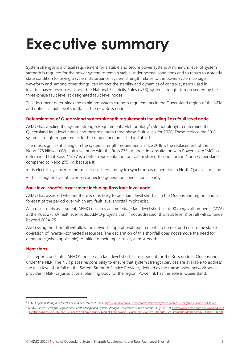# <span id="page-2-0"></span>**Executive summary**

System strength is a critical requirement for a stable and secure power system. A minimum level of system strength is required for the power system to remain stable under normal conditions and to return to a steady state condition following a system disturbance. System strength relates to the power system voltage waveform and, among other things, can impact the stability and dynamics of control systems used in inverter-based resources<sup>1</sup>. Under the National Electricity Rules (NER), system strength is represented by the three-phase fault level at designated fault level nodes.

This document determines the minimum system strength requirements in the Queensland region of the NEM and notifies a fault level shortfall at the new Ross node.

## **Determination of Queensland system strength requirements including Ross fault level node**

AEMO has applied the System Strength Requirements Methodology<sup>2</sup> (Methodology) to determine the Queensland fault level nodes and their minimum three phase fault levels for 2020. These replace the 2018 system strength requirements for the region, and are listed in Table 1.

The most significant change in the system strength requirements since 2018 is the replacement of the Nebo 275 kilovolt (kV) fault level node with the Ross 275 kV node. In consultation with Powerlink, AEMO has determined that Ross 275 kV is a better representation for system strength conditions in North Queensland compared to Nebo 275 kV, because it:

- is electrically closer to the smaller gas-fired and hydro synchronous generation in North Queensland, and
- has a higher level of inverter-connected generation connections nearby.

## **Fault level shortfall assessment including Ross fault level node**

AEMO has assessed whether there is or is likely to be a fault level shortfall in the Queensland region, and a forecast of the period over which any fault level shortfall might exist.

As a result of its assessment, AEMO declares an immediate fault level shortfall of 90 megavolt-amperes (MVA) at the Ross 275 kV fault level node. AEMO projects that, if not addressed, this fault level shortfall will continue beyond 2024-25.

Addressing the shortfall will allow the network's operational requirements to be met and ensure the stable operation of inverter-connected resources. The declaration of this shortfall does not remove the need for generators (when applicable) to mitigate their impact on system strength.

## **Next steps**

This report constitutes AEMO's notice of a fault level shortfall assessment for the Ross node in Queensland under the NER. The NER places responsibility to ensure that system strength services are available to address the fault level shortfall on the System Strength Service Provider, defined as the transmission network service provider (TNSP) or jurisdictional planning body for the region. Powerlink has this role in Queensland.

<sup>1</sup> AEMO, *System strength in the NEM explained,* March 2020, at [https://aemo.com.au/-/media/files/electricity/nem/system-strength-explained.pdf?la=en.](https://aemo.com.au/-/media/files/electricity/nem/system-strength-explained.pdf?la=en)

<sup>&</sup>lt;sup>2</sup> AEMO, System Strength Requirements Methodology and System Strength Requirements and Shortfalls, July 2018, a[t https://www.aemo.com.au/-/media/Files/](https://www.aemo.com.au/-/media/Files/Electricity/NEM/Security_and_Reliability/System-Security-Market-Frameworks-Review/2018/System_Strength_Requirements_Methodology_PUBLISHED.pdf) [Electricity/NEM/Security\\_and\\_Reliability/System-Security-Market-Frameworks-Review/2018/System\\_Strength\\_Requirements\\_Methodology\\_PUBLISHED.pdf.](https://www.aemo.com.au/-/media/Files/Electricity/NEM/Security_and_Reliability/System-Security-Market-Frameworks-Review/2018/System_Strength_Requirements_Methodology_PUBLISHED.pdf)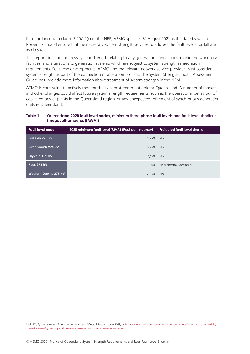In accordance with clause 5.20C.2(c) of the NER, AEMO specifies 31 August 2021 as the date by which Powerlink should ensure that the necessary system strength services to address the fault level shortfall are available.

This report does not address system strength relating to any generation connections, market network service facilities, and alterations to generation systems which are subject to system strength remediation requirements. For those developments, AEMO and the relevant network service provider must consider system strength as part of the connection or alteration process. The System Strength Impact Assessment Guidelines<sup>3</sup> provide more information about treatment of system strength in the NEM.

AEMO is continuing to actively monitor the system strength outlook for Queensland. A number of market and other changes could affect future system strength requirements, such as the operational behaviour of coal-fired power plants in the Queensland region, or any unexpected retirement of synchronous generation units in Queensland.

#### <span id="page-3-0"></span>**Table 1 Queensland 2020 fault level nodes, minimum three phase fault levels and fault level shortfalls (megavolt-amperes [(MVA])**

| <b>Fault level node</b> | 2020 minimum fault level (MVA) (Post-contingency) | <b>Projected fault level shortfall</b> |
|-------------------------|---------------------------------------------------|----------------------------------------|
| Gin Gin 275 kV          | 2,250                                             | <b>No</b>                              |
| <b>Greenbank 275 kV</b> | 3,750                                             | No.                                    |
| Lilyvale 132 kV         | 1.150                                             | <b>No</b>                              |
| <b>Ross 275 kV</b>      | 1,300                                             | New shortfall declared                 |
| Western Downs 275 kV    | 2,550                                             | No.                                    |

<sup>&</sup>lt;sup>3</sup> AEMO, System strength impact assessment guidelines, Effective 1 July 2018, a[t https://www.aemo.com.au/energy-systems/electricity/national-electricity](https://www.aemo.com.au/energy-systems/electricity/national-electricity-market-nem/system-operations/system-security-market-frameworks-review)[market-nem/system-operations/system-security-market-frameworks-review.](https://www.aemo.com.au/energy-systems/electricity/national-electricity-market-nem/system-operations/system-security-market-frameworks-review)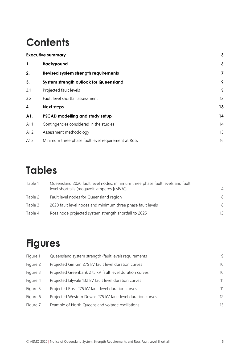## **Contents**

|      | $\mathbf{3}$<br><b>Executive summary</b>            |                  |
|------|-----------------------------------------------------|------------------|
| 1.   | <b>Background</b>                                   | $\boldsymbol{6}$ |
| 2.   | Revised system strength requirements                | 7                |
| 3.   | System strength outlook for Queensland              | 9                |
| 3.1  | Projected fault levels                              | 9                |
| 3.2  | Fault level shortfall assessment                    | 12               |
| 4.   | <b>Next steps</b>                                   | 13               |
| A1.  | PSCAD modelling and study setup                     | 14               |
| A1.1 | Contingencies considered in the studies             | 14               |
| A1.2 | Assessment methodology                              | 15               |
| A1.3 | Minimum three phase fault level requirement at Ross | 16               |

## **Tables**

| Table 1<br>Queensland 2020 fault level nodes, minimum three phase fault levels and fault |                                                             |                |
|------------------------------------------------------------------------------------------|-------------------------------------------------------------|----------------|
|                                                                                          | level shortfalls (megavolt-amperes [(MVA])                  | $\overline{4}$ |
| Table 2                                                                                  | Fault level nodes for Queensland region                     | 8              |
| Table 3                                                                                  | 2020 fault level nodes and minimum three phase fault levels | 8              |
| Table 4                                                                                  | Ross node projected system strength shortfall to 2025       | 13             |

## **Figures**

| Figure 1 | Queensland system strength (fault level) requirements      | 9  |
|----------|------------------------------------------------------------|----|
| Figure 2 | Projected Gin Gin 275 kV fault level duration curves       | 10 |
| Figure 3 | Projected Greenbank 275 kV fault level duration curves     | 10 |
| Figure 4 | Projected Lilyvale 132 kV fault level duration curves      | 11 |
| Figure 5 | Projected Ross 275 kV fault level duration curves          | 11 |
| Figure 6 | Projected Western Downs 275 kV fault level duration curves | 12 |
| Figure 7 | Example of North Queensland voltage oscillations           | 15 |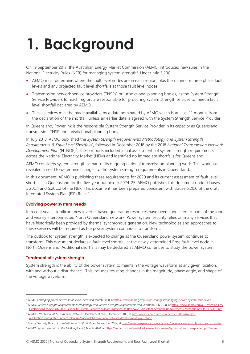# <span id="page-5-0"></span>**1. Background**

On 19 September 2017, the Australian Energy Market Commission (AEMC) introduced new rules in the National Electricity Rules (NER) for managing system strength<sup>4</sup>. Under rule 5.20C:

- AEMO must determine where the fault level nodes are in each region, plus the minimum three phase fault levels and any projected fault level shortfalls at those fault level nodes.
- Transmission network service providers (TNSPs) or jurisdictional planning bodies, as the System Strength Service Providers for each region, are responsible for procuring system strength services to meet a fault level shortfall declared by AEMO.
- These services must be made available by a date nominated by AEMO which is at least 12 months from the declaration of the shortfall, unless an earlier date is agreed with the System Strength Service Provider.

In Queensland, Powerlink is the responsible System Strength Service Provider in its capacity as Queensland transmission TNSP and jurisdictional planning body.

In July 2018, AEMO published the *System Strength Requirements Methodology and System Strength Requirements & Fault Level Shortfalls<sup>5</sup>* , followed in December 2018 by the 2018 *National Transmission Network*  Development Plan (NTNDP)<sup>6</sup>. These reports included initial assessments of system strength requirements across the National Electricity Market (NEM) and identified no immediate shortfalls for Queensland.

AEMO considers system strength as part of its ongoing national transmission planning work. This work has revealed a need to determine changes to the system strength requirements in Queensland.

In this document, AEMO is publishing these requirements for 2020 and its current assessment of fault level shortfalls in Queensland for the five-year outlook to 2024-25. AEMO publishes this document under clauses 5.20C.1 and 5.20C.2 of the NER. This document has been prepared consistent with clause 5.20.6 of the draft Integrated System Plan (ISP) Rules<sup>7</sup>.

## **Evolving power system needs**

In recent years, significant new inverter-based generation resources have been connected to parts of the long and weakly interconnected North Queensland network. Power system security relies on many services that have historically been provided by thermal synchronous generation. New technologies and approaches to these services will be required as the power system continues to transform.

The outlook for system strength is expected to change as the Queensland power system continues to transform. This document declares a fault level shortfall at the newly-determined Ross fault level node in North Queensland. Additional shortfalls may be declared as AEMO continues to study the power system.

## **Treatment of system strength**

System strength is the ability of the power system to maintain the voltage waveform at any given location, with and without a disturbance<sup>8</sup>. This includes resisting changes in the magnitude, phase angle, and shape of the voltage waveform.

5 AEMO, System Strength Requirements Methodology and System Strength Requirements and Shortfalls, July 2018, a[t https://www.aemo.com.au/-/media/Files/](https://www.aemo.com.au/-/media/Files/Electricity/NEM/Security_and_Reliability/System-Security-Market-Frameworks-Review/2018/System_Strength_Requirements_Methodology_PUBLISHED.pdf) [Electricity/NEM/Security\\_and\\_Reliability/System-Security-Market-Frameworks-Review/2018/System\\_Strength\\_Requirements\\_Methodology\\_PUBLISHED.pdf.](https://www.aemo.com.au/-/media/Files/Electricity/NEM/Security_and_Reliability/System-Security-Market-Frameworks-Review/2018/System_Strength_Requirements_Methodology_PUBLISHED.pdf)

<sup>4</sup> AEMC, *Managing power system fault levels*, accessed March 2020, a[t https://www.aemc.gov.au/rule-changes/managing-power-system-fault-levels.](https://www.aemc.gov.au/rule-changes/managing-power-system-fault-levels)

<sup>6</sup> AEMO, *2018 National Transmission Network Development Plan*, December 2018, a[t https://www.aemo.com.au/energy-systems/major](https://www.aemo.com.au/energy-systems/major-publications/integrated-system-plan-isp/national-transmission-network-development-plan-ntndp)[publications/integrated-system-plan-isp/national-transmission-network-development-plan-ntndp.](https://www.aemo.com.au/energy-systems/major-publications/integrated-system-plan-isp/national-transmission-network-development-plan-ntndp)

<sup>7</sup> Energy Security Board, *Consultation on Draft ISP Rules*, November 2019, a[t http://www.coagenergycouncil.gov.au/publications/consultation-draft-isp-rules.](http://www.coagenergycouncil.gov.au/publications/consultation-draft-isp-rules)

<sup>8</sup> AEMO, *System strength in the NEM explained,* March 2020, a[t https://aemo.com.au/-/media/files/electricity/nem/system-strength-explained.pdf?la=en.](https://aemo.com.au/-/media/files/electricity/nem/system-strength-explained.pdf?la=en)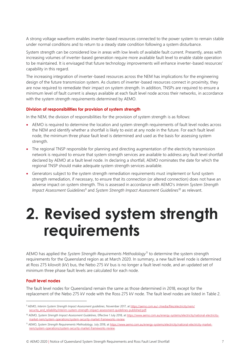A strong voltage waveform enables inverter-based resources connected to the power system to remain stable under normal conditions and to return to a steady state condition following a system disturbance.

System strength can be considered low in areas with low levels of available fault current. Presently, areas with increasing volumes of inverter-based generation require more available fault level to enable stable operation to be maintained. It is envisaged that future technology improvements will enhance inverter-based resources' capability in this regard.

The increasing integration of inverter-based resources across the NEM has implications for the engineering design of the future transmission system. As clusters of inverter-based resources connect in proximity, they are now required to remediate their impact on system strength. In addition, TNSPs are required to ensure a minimum level of fault current is always available at each fault level node across their networks, in accordance with the system strength requirements determined by AEMO.

## **Division of responsibilities for provision of system strength**

In the NEM, the division of responsibilities for the provision of system strength is as follows:

- AEMO is required to determine the location and system strength requirements of fault level nodes across the NEM and identify whether a shortfall is likely to exist at any node in the future. For each fault level node, the minimum three phase fault level is determined and used as the basis for assessing system strength.
- The regional TNSP responsible for planning and directing augmentation of the electricity transmission network is required to ensure that system strength services are available to address any fault level shortfall declared by AEMO at a fault level node. In declaring a shortfall, AEMO nominates the date for which the regional TNSP should make adequate system strength services available.
- Generators subject to the system strength remediation requirements must implement or fund system strength remediation, if necessary, to ensure that its connection (or altered connection) does not have an adverse impact on system strength. This is assessed in accordance with AEMO's *Interim System Strength Impact Assessment Guidelines*<sup>9</sup> and *System Strength Impact Assessment Guidelines*<sup>10</sup> as relevant.

## <span id="page-6-0"></span>**2. Revised system strength requirements**

AEMO has applied the *System Strength Requirements Methodology*<sup>11</sup> to determine the system strength requirements for the Queensland region as at March 2020. In summary, a new fault level node is determined at Ross 275 kilovolt (kV) bus, the Nebo 275 kV bus is no longer a fault level node, and an updated set of minimum three phase fault levels are calculated for each node.

## **Fault level nodes**

The fault level nodes for Queensland remain the same as those determined in 2018, except for the replacement of the Nebo 275 kV node with the Ross 275 kV node. The fault level nodes are listed in Table 2.

<sup>9</sup> AEMO, *Interim System Strength Impact Assessment guidelines*, November 2017, a[t https://aemo.com.au/-/media/files/electricity/nem/](https://aemo.com.au/-/media/files/electricity/nem/‌security_and_reliability/interim-system-strength-impact-assessment-guidelines-published.pdf) [security\\_and\\_reliability/interim-system-strength-impact-assessment-guidelines-published.pdf.](https://aemo.com.au/-/media/files/electricity/nem/‌security_and_reliability/interim-system-strength-impact-assessment-guidelines-published.pdf)

<sup>&</sup>lt;sup>10</sup> AEMO, System Strength Impact Assessment Guidelines, Effective 1 July 2018, a[t https://www.aemo.com.au/energy-systems/electricity/national-electricity](https://www.aemo.com.au/energy-systems/electricity/national-electricity-market-nem/system-operations/system-security-market-frameworks-review)[market-nem/system-operations/system-security-market-frameworks-review.](https://www.aemo.com.au/energy-systems/electricity/national-electricity-market-nem/system-operations/system-security-market-frameworks-review) 

<sup>11</sup> AEMO, *System Strength Requirements Methodology,* July 2018, a[t https://www.aemo.com.au/energy-systems/electricity/national-electricity-market](https://www.aemo.com.au/energy-systems/electricity/national-electricity-market-nem/system-operations/system-security-market-frameworks-review)[nem/system-operations/system-security-market-frameworks-review.](https://www.aemo.com.au/energy-systems/electricity/national-electricity-market-nem/system-operations/system-security-market-frameworks-review)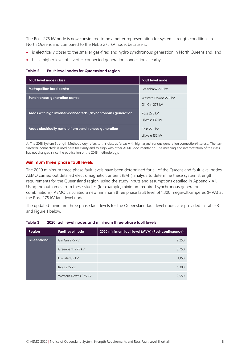The Ross 275 kV node is now considered to be a better representation for system strength conditions in North Queensland compared to the Nebo 275 kV node, because it:

- is electrically closer to the smaller gas-fired and hydro synchronous generation in North Queensland, and
- has a higher level of inverter-connected generation connections nearby.

<span id="page-7-0"></span>**Table 2 Fault level nodes for Queensland region**

| <b>Fault level nodes class</b>                                            | <b>Fault level node</b>                |
|---------------------------------------------------------------------------|----------------------------------------|
| Metropolitan load centre                                                  | Greenbank 275 kV                       |
| Synchronous generation centre                                             | Western Downs 275 kV<br>Gin Gin 275 kV |
| Areas with high inverter-connected <sup>A</sup> (asynchronous) generation | <b>Ross 275 kV</b><br>Lilyvale 132 kV  |
| Areas electrically remote from synchronous generation                     | <b>Ross 275 kV</b><br>Lilyvale 132 kV  |

A. The 2018 System Strength Methodology refers to this class as 'areas with high asynchronous generation connection/interest'. The term "inverter-connected" is used here for clarity and to align with other AEMO documentation. The meaning and interpretation of the class has not changed since the publication of the 2018 methodology.

## **Minimum three phase fault levels**

The 2020 minimum three phase fault levels have been determined for all of the Queensland fault level nodes. AEMO carried out detailed electromagnetic transient (EMT) analysis to determine these system strength requirements for the Queensland region, using the study inputs and assumptions detailed in Appendix [A1.](#page-13-0) Using the outcomes from these studies (for example, minimum required synchronous generator combinations), AEMO calculated a new minimum three phase fault level of 1,300 megavolt-amperes (MVA) at the Ross 275 kV fault level node.

The updated minimum three phase fault levels for the Queensland fault level nodes are provided in Table 3 and Figure 1 below.

<span id="page-7-1"></span>

| Table 3 | 2020 fault level nodes and minimum three phase fault levels |  |  |
|---------|-------------------------------------------------------------|--|--|
|---------|-------------------------------------------------------------|--|--|

| <b>Region</b> | <b>Fault level node</b> | 2020 minimum fault level (MVA) (Post-contingency) |
|---------------|-------------------------|---------------------------------------------------|
| Queensland    | Gin Gin 275 kV          | 2,250                                             |
|               | Greenbank 275 kV        | 3,750                                             |
|               | Lilyvale 132 kV         | 1,150                                             |
|               | <b>Ross 275 kV</b>      | 1,300                                             |
|               | Western Downs 275 kV    | 2,550                                             |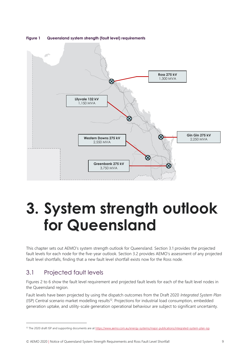

## <span id="page-8-2"></span>**Figure 1 Queensland system strength (fault level) requirements**

## <span id="page-8-0"></span>**3. System strength outlook for Queensland**

This chapter sets out AEMO's system strength outlook for Queensland. Section [3.1](#page-8-1) provides the projected fault levels for each node for the five-year outlook. Section [3.2](#page-11-0) provides AEMO's assessment of any projected fault level shortfalls, finding that a new fault level shortfall exists now for the Ross node.

## <span id="page-8-1"></span>3.1 Projected fault levels

Figures 2 to 6 show the fault level requirement and projected fault levels for each of the fault level nodes in the Queensland region.

Fault levels have been projected by using the dispatch outcomes from the Draft 2020 *Integrated System Plan* (ISP) Central scenario market modelling results<sup>12</sup>. Projections for industrial load consumption, embedded generation uptake, and utility-scale generation operational behaviour are subject to significant uncertainty.

© AEMO 2020 | Notice of Queensland System Strength Requirements and Ross Fault Level Shortfall 9

<sup>&</sup>lt;sup>12</sup> The 2020 draft ISP and supporting documents are a[t https://www.aemo.com.au/energy-systems/major-publications/integrated-system-plan-isp.](https://www.aemo.com.au/energy-systems/major-publications/integrated-system-plan-isp)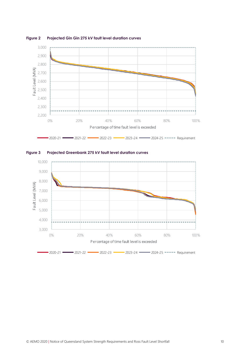

<span id="page-9-0"></span>**Figure 2 Projected Gin Gin 275 kV fault level duration curves**

<span id="page-9-1"></span>

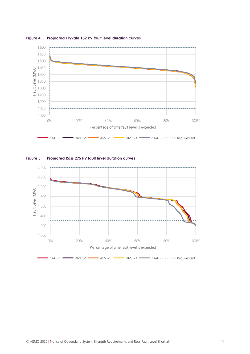

#### <span id="page-10-0"></span>**Figure 4 Projected Lilyvale 132 kV fault level duration curves**



### <span id="page-10-1"></span>**Figure 5 Projected Ross 275 kV fault level duration curves**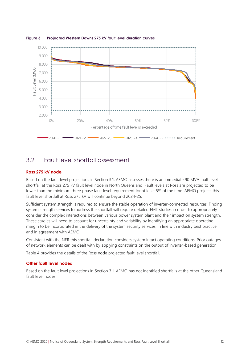

<span id="page-11-1"></span>**Figure 6 Projected Western Downs 275 kV fault level duration curves**

## <span id="page-11-0"></span>3.2 Fault level shortfall assessment

## **Ross 275 kV node**

Based on the fault level projections in Section [3.1,](#page-8-1) AEMO assesses there is an immediate 90 MVA fault level shortfall at the Ross 275 kV fault level node in North Queensland. Fault levels at Ross are projected to be lower than the minimum three phase fault level requirement for at least 5% of the time. AEMO projects this fault level shortfall at Ross 275 kV will continue beyond 2024-25.

Sufficient system strength is required to ensure the stable operation of inverter-connected resources. Finding system strength services to address the shortfall will require detailed EMT studies in order to appropriately consider the complex interactions between various power system plant and their impact on system strength. These studies will need to account for uncertainty and variability by identifying an appropriate operating margin to be incorporated in the delivery of the system security services, in line with industry best practice and in agreement with AEMO.

Consistent with the NER this shortfall declaration considers system intact operating conditions. Prior outages of network elements can be dealt with by applying constraints on the output of inverter-based generation.

[Table 4](#page-12-1) provides the details of the Ross node projected fault level shortfall.

## **Other fault level nodes**

Based on the fault level projections in Section [3.1,](#page-8-1) AEMO has not identified shortfalls at the other Queensland fault level nodes.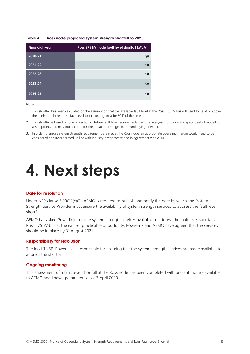#### <span id="page-12-1"></span>**Table 4 Ross node projected system strength shortfall to 2025**

| <b>Financial year</b> | Ross 275 kV node fault level shortfall (MVA) |
|-----------------------|----------------------------------------------|
| 2020-21               | 90                                           |
| 2021-22               | 90                                           |
| 2022-23               | 90                                           |
| 2023-24               | 90                                           |
| 2024-25               | 90                                           |

Notes:

- 1. This shortfall has been calculated on the assumption that the available fault level at the Ross 275 kV bus will need to be at or above the minimum three phase fault level (post-contingency) for 99% of the time.
- 2. This shortfall is based on one projection of future fault level requirements over the five-year horizon and a specific set of modelling assumptions, and may not account for the impact of changes in the underlying network.
- 3. In order to ensure system strength requirements are met at the Ross node, an appropriate operating margin would need to be considered and incorporated, in line with industry best practice and in agreement with AEMO.

## <span id="page-12-0"></span>**4. Next steps**

#### **Date for resolution**

Under NER clause 5.20C.2(c)(2), AEMO is required to publish and notify the date by which the System Strength Service Provider must ensure the availability of system strength services to address the fault level shortfall.

AEMO has asked Powerlink to make system strength services available to address the fault level shortfall at Ross 275 kV bus at the earliest practicable opportunity. Powerlink and AEMO have agreed that the services should be in place by 31 August 2021.

#### **Responsibility for resolution**

The local TNSP, Powerlink, is responsible for ensuring that the system strength services are made available to address the shortfall.

#### **Ongoing monitoring**

This assessment of a fault level shortfall at the Ross node has been completed with present models available to AEMO and known parameters as of 3 April 2020.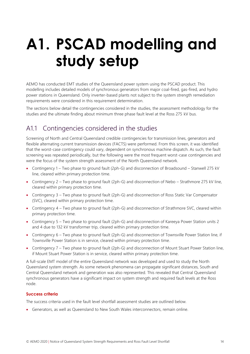# <span id="page-13-0"></span>**A1. PSCAD modelling and study setup**

AEMO has conducted EMT studies of the Queensland power system using the PSCAD product. This modelling includes detailed models of synchronous generators from major coal-fired, gas-fired, and hydro power stations in Queensland. Only inverter-based plants not subject to the system strength remediation requirements were considered in this requirement determination.

The sections below detail the contingencies considered in the studies, the assessment methodology for the studies and the ultimate finding about minimum three phase fault level at the Ross 275 kV bus.

## <span id="page-13-1"></span>A1.1 Contingencies considered in the studies

Screening of North and Central Queensland credible contingencies for transmission lines, generators and flexible alternating current transmission devices (FACTS) were performed. From this screen, it was identified that the worst-case contingency could vary, dependent on synchronous machine dispatch. As such, the fault screening was repeated periodically, but the following were the most frequent worst-case contingencies and were the focus of the system strength assessment of the North Queensland network.

- Contingency 1 Two phase to ground fault (2ph-G) and disconnection of Broadsound Stanwell 275 kV line, cleared within primary protection time.
- Contingency 2 Two phase to ground fault (2ph-G) and disconnection of Nebo Strathmore 275 kV line, cleared within primary protection time.
- Contingency 3 Two phase to ground fault (2ph-G) and disconnection of Ross Static Var Compensator (SVC), cleared within primary protection time.
- Contingency 4 Two phase to ground fault (2ph-G) and disconnection of Strathmore SVC, cleared within primary protection time.
- Contingency 5 Two phase to ground fault (2ph-G) and disconnection of Kareeya Power Station units 2 and 4 due to 132 kV transformer trip, cleared within primary protection time.
- Contingency 6 Two phase to ground fault (2ph-G) and disconnection of Townsville Power Station line, if Townsville Power Station is in service, cleared within primary protection time.
- Contingency 7 Two phase to ground fault (2ph-G) and disconnection of Mount Stuart Power Station line, if Mount Stuart Power Station is in service, cleared within primary protection time.

A full-scale EMT model of the entire Queensland network was developed and used to study the North Queensland system strength. As some network phenomena can propagate significant distances, South and Central Queensland network and generation was also represented. This revealed that Central Queensland synchronous generators have a significant impact on system strength and required fault levels at the Ross node.

## **Success criteria**

The success criteria used in the fault level shortfall assessment studies are outlined below.

• Generators, as well as Queensland to New South Wales interconnectors, remain online.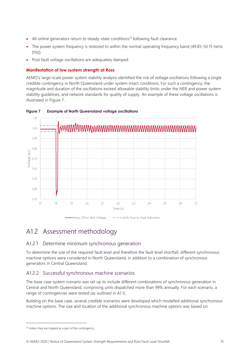- All online generators return to steady-state conditions<sup>13</sup> following fault clearance.
- The power system frequency is restored to within the normal operating frequency band (49.85-50.15 hertz  $[Hz]$ ).
- Post fault voltage oscillations are adequately damped.

## **Manifestation of low system strength at Ross**

AEMO's large-scale power system stability analysis identified the risk of voltage oscillations following a single credible contingency in North Queensland under system intact conditions. For such a contingency, the magnitude and duration of the oscillations exceed allowable stability limits under the NER and power system stability guidelines, and network standards for quality of supply. An example of these voltage oscillations is illustrated in Figure 7.



### <span id="page-14-1"></span>**Figure 7 Example of North Queensland voltage oscillations**

## <span id="page-14-0"></span>A1.2 Assessment methodology

## A1.2.1 Determine minimum synchronous generation

To determine the size of the required fault level and therefore the fault level shortfall, different synchronous machine options were considered in North Queensland, in addition to a combination of synchronous generators in Central Queensland.

## A1.2.2 Successful synchronous machine scenarios

The base case system scenario was set up to include different combinations of synchronous generation in Central and North Queensland, comprising units dispatched more than 99% annually. For each scenario, a range of contingencies were tested (as outlined in A1.1).

Building on the base case, several credible scenarios were developed which modelled additional synchronous machine options. The size and location of the additional synchronous machine options was based on

<sup>&</sup>lt;sup>13</sup> Unless they are tripped as a part of the contingency.